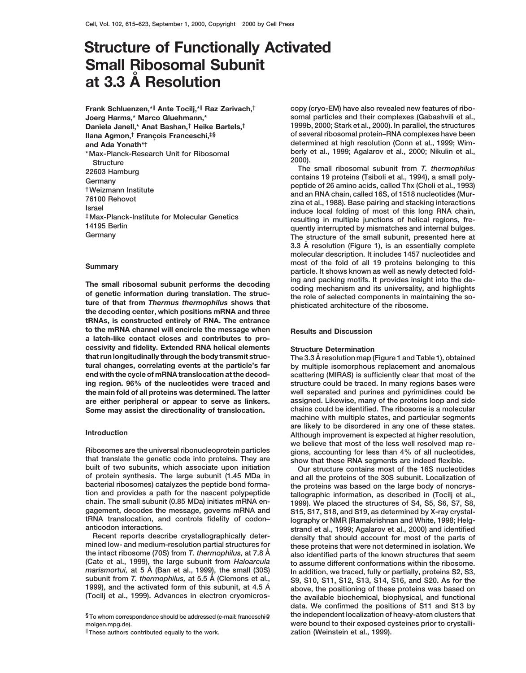# **Structure of Functionally Activated Small Ribosomal Subunit at 3.3 A˚ Resolution**

**Frank Schluenzen,\***<sup>k</sup> **Ante Tocilj,\***<sup>k</sup> **Raz Zarivach,† Joerg Harms,\* Marco Gluehmann,\* Daniela Janell,\* Anat Bashan,† Heike Bartels,† Ilana Agmon,<sup>†</sup> François Franceschi,<sup>‡§</sup> and Ada Yonath\*† 2000).**<br>The small ribosomal subunit from T. thermophilus<br>Records Hamburg

The small ribosomal subunit performs the decoding<br>of genetic information during translation. The struc-<br>ture of that from Thermus thermophilus shows that<br>the decoding center, which positions mRNA and three<br>the decoding cen **tRNAs, is constructed entirely of RNA. The entrance to the mRNA channel will encircle the message when Results and Discussion a latch-like contact closes and contributes to processivity and fidelity. Extended RNA helical elements Structure Determination that run longitudinally through the body transmit struc- The 3.3 A˚ resolution map (Figure 1 and Table 1), obtained**

**built of two subunits, which associate upon initiation Our structure contains most of the 16S nucleotides of protein synthesis. The large subunit (1.45 MDa in and all the proteins of the 30S subunit. Localization of bacterial ribosomes) catalyzes the peptide bond forma- the proteins was based on the large body of noncrystion and provides a path for the nascent polypeptide tallographic information, as described in (Tocilj et al., chain. The small subunit (0.85 MDa) initiates mRNA en- 1999). We placed the structures of S4, S5, S6, S7, S8,**

**Recent reports describe crystallographically deter- density that should account for most of the parts of mined low- and medium-resolution partial structures for these proteins that were not determined in isolation. We (Cate et al., 1999), the large subunit from** *Haloarcula* **to assume different conformations within the ribosome.** *marismortui,* **at 5 A˚ (Ban et al., 1999), the small (30S) In addition, we traced, fully or partially, proteins S2, S3, subunit from** *T. thermophilus,* **at 5.5 A˚ (Clemons et al., S9, S10, S11, S12, S13, S14, S16, and S20. As for the**

**These authors contributed equally to the work.** *zation (Weinstein et al., 1999).* 

**copy (cryo-EM) have also revealed new features of ribosomal particles and their complexes (Gabashvili et al., 1999b, 2000; Stark et al., 2000). In parallel, the structures of several ribosomal protein–RNA complexes have been determined at high resolution (Conn et al., 1999; Wimberly et al., 1999; Agalarov et al., 2000; Nikulin et al., \*Max-Planck-Research Unit for Ribosomal**

22603 Hamburg<br>
Cermany<br>
The small ribosomal subunit from T. thermophilus<br>
Cermany<br>
TWeizmann Institute<br>
T6100 Rehovot<br>
Israel<br>
FMax-Planck-Institute for Molecular Genetics<br>
The small ribosomal subunit from T. thermophilus<br> The structure of the small subunit, presented here at 3.3 Å resolution (Figure 1), is an essentially complete **molecular description. It includes 1457 nucleotides and most of the fold of all 19 proteins belonging to this**<br> **particle. It shows known as well as newly detected fold-**<br> **particle. It shows known as well as newly detected fold-**

**tural changes, correlating events at the particle's far by multiple isomorphous replacement and anomalous** scattering (MIRAS) is sufficiently clear that most of the **ing region. 96% of the nucleotides were traced and structure could be traced. In many regions bases were the main fold of all proteins was determined. The latter well separated and purines and pyrimidines could be are either peripheral or appear to serve as linkers. assigned. Likewise, many of the proteins loop and side Some may assist the directionality of translocation. chains could be identified. The ribosome is a molecular machine with multiple states, and particular segments are likely to be disordered in any one of these states. Introduction Although improvement is expected at higher resolution, we believe that most of the less well resolved map re-Ribosomes are the universal ribonucleoprotein particles gions, accounting for less than 4% of all nucleotides,** show that these RNA segments are indeed flexible.

S15, S17, S18, and S19, as determined by X-ray crystal**tRNA translocation, and controls fidelity of codon– lography or NMR (Ramakrishnan and White, 1998; Helganticodon interactions. strand et al., 1999; Agalarov et al., 2000) and identified the intact ribosome (70S) from** *T. thermophilus,* **at 7.8 A˚ also identified parts of the known structures that seem 1999), and the activated form of this subunit, at 4.5 Å** above, the positioning of these proteins was based on (Tocil) et al., 1999). Advances in electron cryomicros-<br>(Tocil) et al., 1999). Advances in electron cryomicros **(Tocilj et al., 1999). Advances in electron cryomicros- the available biochemical, biophysical, and functional data. We confirmed the positions of S11 and S13 by §To whom correspondence should be addressed (e-mail: franceschi@ the independent localization of heavy-atom clusters that molgen.mpg.de). were bound to their exposed cysteines prior to crystalli-**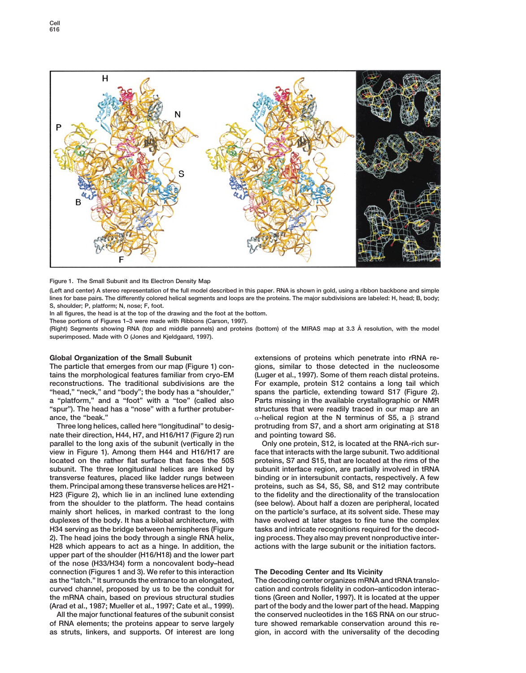

**Figure 1. The Small Subunit and Its Electron Density Map**

**(Left and center) A stereo representation of the full model described in this paper. RNA is shown in gold, using a ribbon backbone and simple lines for base pairs. The differently colored helical segments and loops are the proteins. The major subdivisions are labeled: H, head; B, body; S, shoulder; P, platform; N, nose; F, foot.**

**In all figures, the head is at the top of the drawing and the foot at the bottom.**

**These portions of Figures 1–3 were made with Ribbons (Carson, 1997).**

**(Right) Segments showing RNA (top and middle pannels) and proteins (bottom) of the MIRAS map at 3.3 A˚ resolution, with the model superimposed. Made with O (Jones and Kjeldgaard, 1997).**

**tains the morphological features familiar from cryo-EM (Luger et al., 1997). Some of them reach distal proteins. reconstructions. The traditional subdivisions are the For example, protein S12 contains a long tail which "head," "neck," and "body"; the body has a "shoulder," spans the particle, extending toward S17 (Figure 2). a "platform," and a "foot" with a "toe" (called also Parts missing in the available crystallographic or NMR** "spur"). The head has a "nose" with a further protuber-<br>ance, the "beak."<br> $\alpha$ -helical region at the N terminus of S5, a B strand

**nate their direction, H44, H7, and H16/H17 (Figure 2) run and pointing toward S6. parallel to the long axis of the subunit (vertically in the Only one protein, S12, is located at the RNA-rich surview in Figure 1). Among them H44 and H16/H17 are face that interacts with the large subunit. Two additional located on the rather flat surface that faces the 50S proteins, S7 and S15, that are located at the rims of the subunit. The three longitudinal helices are linked by subunit interface region, are partially involved in tRNA transverse features, placed like ladder rungs between binding or in intersubunit contacts, respectively. A few them. Principal among these transverse helices are H21- proteins, such as S4, S5, S8, and S12 may contribute H23 (Figure 2), which lie in an inclined lune extending to the fidelity and the directionality of the translocation from the shoulder to the platform. The head contains (see below). About half a dozen are peripheral, located mainly short helices, in marked contrast to the long on the particle's surface, at its solvent side. These may duplexes of the body. It has a bilobal architecture, with have evolved at later stages to fine tune the complex H34 serving as the bridge between hemispheres (Figure tasks and intricate recognitions required for the decod-2). The head joins the body through a single RNA helix, ing process. They also may prevent nonproductive inter-H28 which appears to act as a hinge. In addition, the actions with the large subunit or the initiation factors. upper part of the shoulder (H16/H18) and the lower part of the nose (H33/H34) form a noncovalent body–head connection (Figures 1 and 3). We refer to this interaction The Decoding Center and Its Vicinity as the "latch." It surrounds the entrance to an elongated, The decoding center organizes mRNA and tRNA translocurved channel, proposed by us to be the conduit for cation and controls fidelity in codon–anticodon interacthe mRNA chain, based on previous structural studies tions (Green and Noller, 1997). It is located at the upper (Arad et al., 1987; Mueller et al., 1997; Cate et al., 1999). part of the body and the lower part of the head. Mapping**

**Global Organization of the Small Subunit extensions of proteins which penetrate into rRNA re-The particle that emerges from our map (Figure 1) con- gions, similar to those detected in the nucleosome**  $\alpha$ -helical region at the N terminus of S5, a  $\beta$  strand **Three long helices, called here "longitudinal" to desig- protruding from S7, and a short arm originating at S18**

**All the major functional features of the subunit consist the conserved nucleotides in the 16S RNA on our strucof RNA elements; the proteins appear to serve largely ture showed remarkable conservation around this reas struts, linkers, and supports. Of interest are long gion, in accord with the universality of the decoding**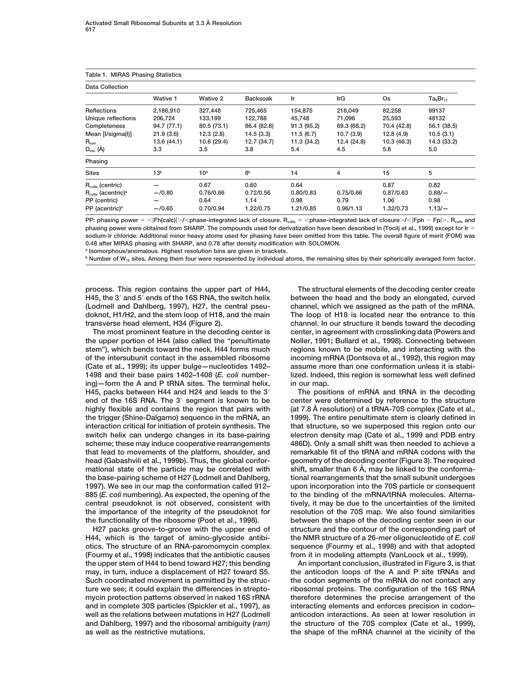| Table 1. MIRAS Phasing Statistics<br><b>Data Collection</b> |                 |                 |                |             |             |             |             |
|-------------------------------------------------------------|-----------------|-----------------|----------------|-------------|-------------|-------------|-------------|
|                                                             |                 |                 |                |             |             |             |             |
| Reflections                                                 | 2,186,910       | 327,448         | 725,465        | 154,875     | 218,049     | 82,258      | 99137       |
| Unique reflections                                          | 206,724         | 133,199         | 122,788        | 45,748      | 71,096      | 25,593      | 48132       |
| Completeness                                                | 94.7 (77.1)     | 80.5 (73.1)     | 86.4 (82.8)    | 91.3(95.2)  | 69.3 (68.2) | 70.4 (42.8) | 56.1 (38.5) |
| Mean [I/sigma(I)]                                           | 21.9(3.6)       | 12.3(2.8)       | 14.5(3.3)      | 11.5(6.7)   | 10.7(3.9)   | 12.8(4.9)   | 10.5(3.1)   |
| $R_{sym}$                                                   | 13.6 (44.1)     | 10.6 (29.4)     | 12.7 (34.7)    | 11.3 (34.2) | 12.4 (24.8) | 10.3 (46.3) | 14.3 (33.2) |
| $D_{min}$ ( $\AA$ )                                         | 3.3             | 3.5             | 3.8            | 5.4         | 4.5         | 5.8         | 5.0         |
| Phasing                                                     |                 |                 |                |             |             |             |             |
| <b>Sites</b>                                                | 13 <sup>b</sup> | 10 <sup>b</sup> | 8 <sup>b</sup> | 14          | 4           | 15          | 5           |
| $R_{\text{cullis}}$ (centric)                               |                 | 0.67            | 0.60           | 0.64        |             | 0.87        | 0.82        |
| $R_{\text{cullis}}$ (acentric) <sup>a</sup>                 | $-$ /0.80       | 0.76/0.66       | 0.72/0.56      | 0.80/0.83   | 0.75/0.66   | 0.87/0.63   | $0.88/-$    |
| PP (centric)                                                |                 | 0.64            | 1.14           | 0.98        | 0.79        | 1.06        | 0.98        |
| PP (acentric) <sup>a</sup>                                  | $-$ /0.65       | 0.70/0.94       | 1.22/0.75      | 1.21/0.85   | 0.96/1.13   | 1.32/0.73   | $1.13/-$    |

**PP: phasing power** 5 ,|**Fh(calc)**|.**/**,**phase-integrated lack of closure. Rcullis** 5 ,**phase-integrated lack of closure**.**/**,|**Fph** 2 **Fp**|.**. Rcullis and** phasing power were obtained from SHARP. The compounds used for derivatization have been described in (Tocilj et al., 1999) except for Ir = **sodium-Ir chloride. Additional minor heavy atoms used for phasing have been omitted from this table. The overall figure of merit (FOM) was 0.48 after MIRAS phasing with SHARP, and 0.78 after density modification with SOLOMON.**

**<sup>a</sup> Isomorphous/anomalous. Highest resolution bins are given in brackets.**

**<sup>b</sup> Number of W18 sites. Among them four were represented by individual atoms, the remaining sites by their spherically averaged form factor.**

**the upper portion of H44 (also called the "penultimate Noller, 1991; Bullard et al., 1998). Connecting between stem"), which bends toward the neck. H44 forms much regions known to be mobile, and interacting with the of the intersubunit contact in the assembled ribosome incoming mRNA (Dontsova et al., 1992), this region may (Cate et al., 1999); its upper bulge—nucleotides 1492– assume more than one conformation unless it is stabiing)—form the A and P tRNA sites. The terminal helix, in our map. H45, packs between H44 and H24 and leads to the 3**9 **The positions of mRNA and tRNA in the decoding end of the 16S RNA. The 3**9 **segment is known to be center were determined by reference to the structure** highly flexible and contains the region that pairs with (at 7.8 A resolution) of a tRNA-70S complex (Cate et al., **the trigger (Shine-Dalgarno) sequence in the mRNA, an 1999). The entire penultimate stem is clearly defined in interaction critical for initiation of protein synthesis. The that structure, so we superposed this region onto our switch helix can undergo changes in its base-pairing electron density map (Cate et al., 1999 and PDB entry scheme; these may induce cooperative rearrangements 486D). Only a small shift was then needed to achieve a that lead to movements of the platform, shoulder, and remarkable fit of the tRNA and mRNA codons with the head (Gabashvili et al., 1999b). Thus, the global confor- geometry of the decoding center (Figure 3). The required** mational state of the particle may be correlated with shift, smaller than 6 Å, may be linked to the conforma**the base-pairing scheme of H27 (Lodmell and Dahlberg, tional rearrangements that the small subunit undergoes 1997). We see in our map the conformation called 912– upon incorporation into the 70S particle or consequent 885 (***E. coli* **numbering). As expected, the opening of the to the binding of the mRNA/tRNA molecules. Alternacentral pseudoknot is not observed, consistent with tively, it may be due to the uncertainties of the limited the importance of the integrity of the pseudoknot for resolution of the 70S map. We also found similarities the functionality of the ribosome (Poot et al., 1998). between the shape of the decoding center seen in our**

**H44, which is the target of amino-glycoside antibi- the NMR structure of a 26-mer oligonucleotide of** *E. coli* **otics. The structure of an RNA-paromomycin complex sequence (Fourmy et al., 1998) and with that adopted (Fourmy et al., 1998) indicates that the antibiotic causes from it in modeling attempts (VanLoock et al., 1999). the upper stem of H44 to bend toward H27; this bending An important conclusion, illustrated in Figure 3, is that may, in turn, induce a displacement of H27 toward S5. the anticodon loops of the A and P site tRNAs and Such coordinated movement is permitted by the struc- the codon segments of the mRNA do not contact any ture we see; it could explain the differences in strepto- ribosomal proteins. The configuration of the 16S RNA mycin protection patterns observed in naked 16S rRNA therefore determines the precise arrangement of the and in complete 30S particles (Spickler et al., 1997), as interacting elements and enforces precision in codon–** well as the relations between mutations in H27 (Lodmell anticodon interactions. As seen at lower resolution in **and Dahlberg, 1997) and the ribosomal ambiguity (***ram)* **the structure of the 70S complex (Cate et al., 1999),**

**process. This region contains the upper part of H44, The structural elements of the decoding center create H45, the 3**9 **and 5**9 **ends of the 16S RNA, the switch helix between the head and the body an elongated, curved (Lodmell and Dahlberg, 1997), H27, the central pseu- channel, which we assigned as the path of the mRNA. doknot, H1/H2, and the stem loop of H18, and the main The loop of H18 is located near the entrance to this transverse head element, H34 (Figure 2). channel. In our structure it bends toward the decoding The most prominent feature in the decoding center is center, in agreement with crosslinking data (Powers and 1498 and their base pairs 1402–1408 (***E. coli* **number- lized. Indeed, this region is somewhat less well defined**

**H27 packs groove-to-groove with the upper end of structure and the contour of the corresponding part of**

**as well as the restrictive mutations. the shape of the mRNA channel at the vicinity of the**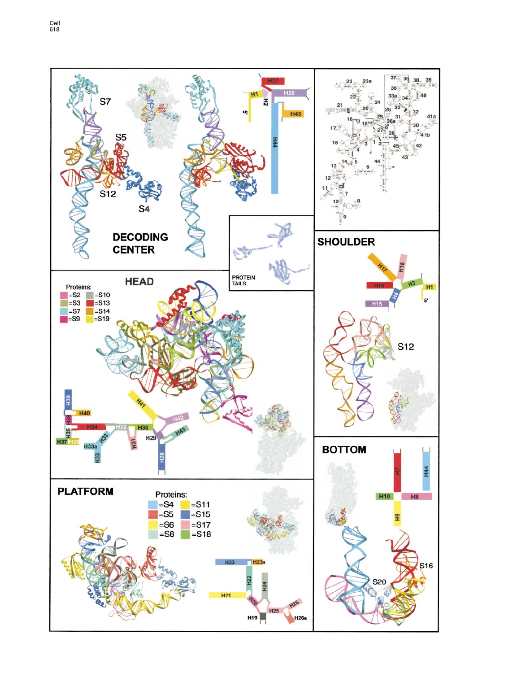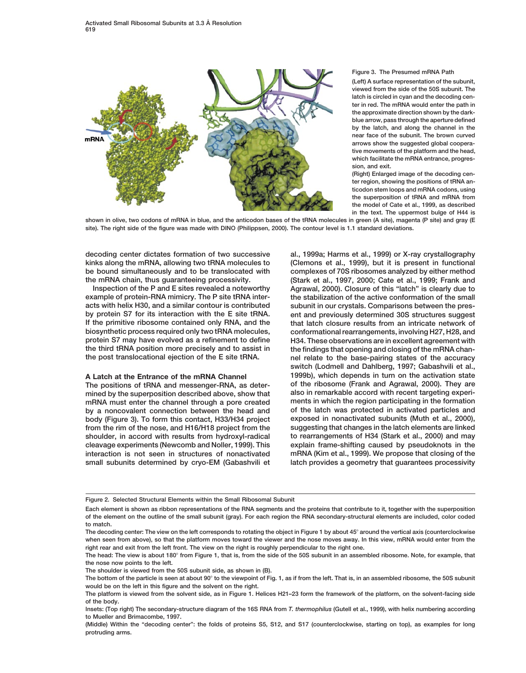

## **Figure 3. The Presumed mRNA Path**

**(Left) A surface representation of the subunit, viewed from the side of the 50S subunit. The latch is circled in cyan and the decoding center in red. The mRNA would enter the path in the approximate direction shown by the darkblue arrow, pass through the aperture defined by the latch, and along the channel in the near face of the subunit. The brown curved arrows show the suggested global cooperative movements of the platform and the head, which facilitate the mRNA entrance, progression, and exit.**

**(Right) Enlarged image of the decoding center region, showing the positions of tRNA anticodon stem loops and mRNA codons, using the superposition of tRNA and mRNA from the model of Cate et al., 1999, as described in the text. The uppermost bulge of H44 is**

**shown in olive, two codons of mRNA in blue, and the anticodon bases of the tRNA molecules in green (A site), magenta (P site) and gray (E site). The right side of the figure was made with DINO (Philippsen, 2000). The contour level is 1.1 standard deviations.**

**decoding center dictates formation of two successive al., 1999a; Harms et al., 1999) or X-ray crystallography**

mined by the superposition described above, show that

**kinks along the mRNA, allowing two tRNA molecules to (Clemons et al., 1999), but it is present in functional be bound simultaneously and to be translocated with complexes of 70S ribosomes analyzed by either method the mRNA chain, thus guaranteeing processivity. (Stark et al., 1997, 2000; Cate et al., 1999; Frank and Inspection of the P and E sites revealed a noteworthy Agrawal, 2000). Closure of this "latch" is clearly due to example of protein-RNA mimicry. The P site tRNA inter- the stabilization of the active conformation of the small acts with helix H30, and a similar contour is contributed subunit in our crystals. Comparisons between the presbut and previously determined 30S structures suggest If the primitive ribosome contained only RNA, and the that latch closure results from an intricate network of biosynthetic process required only two tRNA molecules, conformational rearrangements, involving H27, H28, and protein S7 may have evolved as a refinement to define H34. These observations are in excellent agreement with the third tRNA position more precisely and to assist in the findings that opening and closing of the mRNA chan**nel relate to the base-pairing states of the accuracy **switch (Lodmell and Dahlberg, 1997; Gabashvili et al., A Latch at the Entrance of the mRNA Channel 1999b), which depends in turn on the activation state The positions of tRNA and messenger-RNA, as deter- of the ribosome (Frank and Agrawal, 2000). They are mRNA must enter the channel through a pore created ments in which the region participating in the formation by a noncovalent connection between the head and of the latch was protected in activated particles and body (Figure 3). To form this contact, H33/H34 project exposed in nonactivated subunits (Muth et al., 2000), from the rim of the nose, and H16/H18 project from the suggesting that changes in the latch elements are linked shoulder, in accord with results from hydroxyl-radical to rearrangements of H34 (Stark et al., 2000) and may cleavage experiments (Newcomb and Noller, 1999). This explain frame-shifting caused by pseudoknots in the interaction is not seen in structures of nonactivated mRNA (Kim et al., 1999). We propose that closing of the** small subunits determined by cryo-EM (Gabashvili et latch provides a geometry that guarantees processivity

**Figure 2. Selected Structural Elements within the Small Ribosomal Subunit**

**Each element is shown as ribbon representations of the RNA segments and the proteins that contribute to it, together with the superposition of the element on the outline of the small subunit (gray). For each region the RNA secondary-structural elements are included, color coded to match.**

**The decoding center: The view on the left corresponds to rotating the object in Figure 1 by about 45**8 **around the vertical axis (counterclockwise when seen from above), so that the platform moves toward the viewer and the nose moves away. In this view, mRNA would enter from the right rear and exit from the left front. The view on the right is roughly perpendicular to the right one.**

**The head: The view is about 180**8 **from Figure 1, that is, from the side of the 50S subunit in an assembled ribosome. Note, for example, that the nose now points to the left.**

**The shoulder is viewed from the 50S subunit side, as shown in (B).**

The bottom of the particle is seen at about 90° to the viewpoint of Fig. 1, as if from the left. That is, in an assembled ribosome, the 50S subunit **would be on the left in this figure and the solvent on the right.**

**The platform is viewed from the solvent side, as in Figure 1. Helices H21–23 form the framework of the platform, on the solvent-facing side of the body.**

**Insets: (Top right) The secondary-structure diagram of the 16S RNA from** *T. thermophilus* **(Gutell et al., 1999), with helix numbering according to Mueller and Brimacombe, 1997.**

**<sup>(</sup>Middle) Within the "decoding center": the folds of proteins S5, S12, and S17 (counterclockwise, starting on top), as examples for long protruding arms.**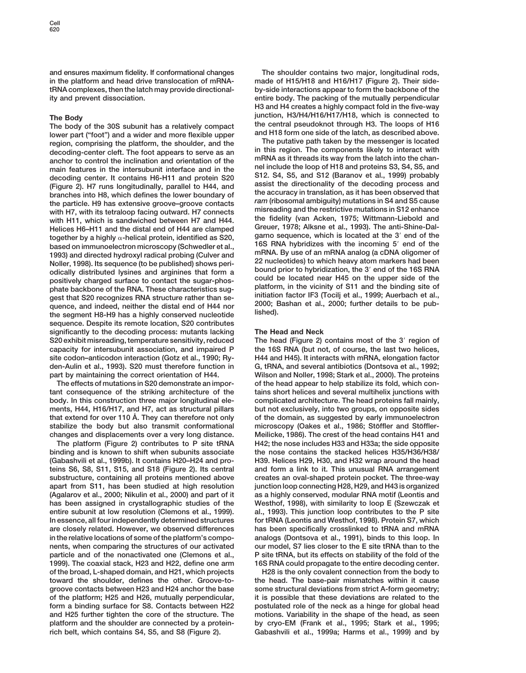**and ensures maximum fidelity. If conformational changes The shoulder contains two major, longitudinal rods, in the platform and head drive translocation of mRNA- made of H15/H18 and H16/H17 (Figure 2). Their sidetRNA complexes, then the latch may provide directional- by-side interactions appear to form the backbone of the ity and prevent dissociation. entire body. The packing of the mutually perpendicular**

The Body<br>
The body of the 30S subunit has a relatively compact<br>
lower part ("foot") and a wider and more flexible upper<br>
region, comprising the platform, the shoulder, and the<br>
decoding-center cleft. The foot appears to se anchor to control the inclination and orientation of the<br>main features in the intersubunit interface and in the nel include the loop of H18 and proteins S3, S4, S5, and<br>decoding center. It contains H6-H11 and protein S20 5 (Figure 2). H7 runs longitudinally, parallel to H44, and assist the directionality of the decoding process and<br>branches into H8, which defines the lower boundary of the accuracy in translation, as it has been observed that *ram* **(ribosomal ambiguity) mutations in S4 and S5 cause the particle. H9 has extensive groove–groove contacts** with H7, with its tetraloop facing outward. H7 connects misreading and the restrictive mutations in S12 enhance<br>with H11, which is sandwiched between H7 and H44, the fidelity (van Acken, 1975; Wittmann-Liebold and with H11, which is sandwiched between H7 and H44.<br>Helices H6–H11 and the distal and of H44 are clamped<br>**Greuer, 1978; Alksne et al., 1993).** The anti-Shine-Dal-Helices H6–H11 and the distal end of H44 are clamped<br>
store that is located at the 3' end of the<br>
Hore that is located at the 3' end of the together by a highly  $\alpha$ -helical protein, identified as S20, garno sequence, which is located at the 3' end of the<br>based on immunoelectron microscopy (Schwedler et al., 16S RNA hybridizes with the incoming 5' end of the<br> **Noller, 1998). Its sequence (to be published) shows peri- 22 nucleotides) to which heavy atom markers had been** odically distributed lysines and arginines that form a<br>positively charged surface to contact the sugar-phos-<br>phate backbone of the RNA. These characteristics sug-<br>gest that S20 recognizes RNA structure rather than se-<br>quen **sequence. Despite its remote location, S20 contributes significantly to the decoding process: mutants lacking The Head and Neck S20 exhibit misreading, temperature sensitivity, reduced The head (Figure 2) contains most of the 3**9 **region of capacity for intersubunit association, and impaired P the 16S RNA (but not, of course, the last two helices, site codon–anticodon interaction (Gotz et al., 1990; Ry- H44 and H45). It interacts with mRNA, elongation factor den-Aulin et al., 1993). S20 must therefore function in G, tRNA, and several antibiotics (Dontsova et al., 1992;**

**tant consequence of the striking architecture of the tains short helices and several multihelix junctions with body. In this construction three major longitudinal ele- complicated architecture. The head proteins fall mainly, ments, H44, H16/H17, and H7, act as structural pillars but not exclusively, into two groups, on opposite sides that extend for over 110 A˚ . They can therefore not only of the domain, as suggested by early immunoelectron** stabilize the body but also transmit conformational microscopy (Oakes et al., 1986; Stöffler and Stöffler**changes and displacements over a very long distance. Meilicke, 1986). The crest of the head contains H41 and**

**binding and is known to shift when subunits associate the nose contains the stacked helices H35/H36/H38/ (Gabashvili et al., 1999b). It contains H20–H24 and pro- H39. Helices H29, H30, and H32 wrap around the head teins S6, S8, S11, S15, and S18 (Figure 2). Its central and form a link to it. This unusual RNA arrangement substructure, containing all proteins mentioned above creates an oval-shaped protein pocket. The three-way apart from S11, has been studied at high resolution junction loop connecting H28, H29, and H43 is organized (Agalarov et al., 2000; Nikulin et al., 2000) and part of it as a highly conserved, modular RNA motif (Leontis and has been assigned in crystallographic studies of the Westhof, 1998), with similarity to loop E (Szewczak et entire subunit at low resolution (Clemons et al., 1999). al., 1993). This junction loop contributes to the P site In essence, all four independently determined structures for tRNA (Leontis and Westhof, 1998). Protein S7, which are closely related. However, we observed differences has been specifically crosslinked to tRNA and mRNA in the relative locations of some of the platform's compo- analogs (Dontsova et al., 1991), binds to this loop. In nents, when comparing the structures of our activated our model, S7 lies closer to the E site tRNA than to the particle and of the nonactivated one (Clemons et al., P site tRNA, but its effects on stability of the fold of the 1999). The coaxial stack, H23 and H22, define one arm 16S RNA could propagate to the entire decoding center. of the broad, L-shaped domain, and H21, which projects H28 is the only covalent connection from the body to toward the shoulder, defines the other. Groove-to- the head. The base-pair mismatches within it cause groove contacts between H23 and H24 anchor the base some structural deviations from strict A-form geometry; of the platform; H25 and H26, mutually perpendicular, it is possible that these deviations are related to the form a binding surface for S8. Contacts between H22 postulated role of the neck as a hinge for global head and H25 further tighten the core of the structure. The motions. Variability in the shape of the head, as seen platform and the shoulder are connected by a protein- by cryo-EM (Frank et al., 1995; Stark et al., 1995; rich belt, which contains S4, S5, and S8 (Figure 2). Gabashvili et al., 1999a; Harms et al., 1999) and by**

**H3 and H4 creates a highly compact fold in the five-way**

**part by maintaining the correct orientation of H44. Wilson and Noller, 1998; Stark et al., 2000). The proteins The effects of mutations in S20 demonstrate an impor- of the head appear to help stabilize its fold, which con-The platform (Figure 2) contributes to P site tRNA H42; the nose includes H33 and H33a; the side opposite**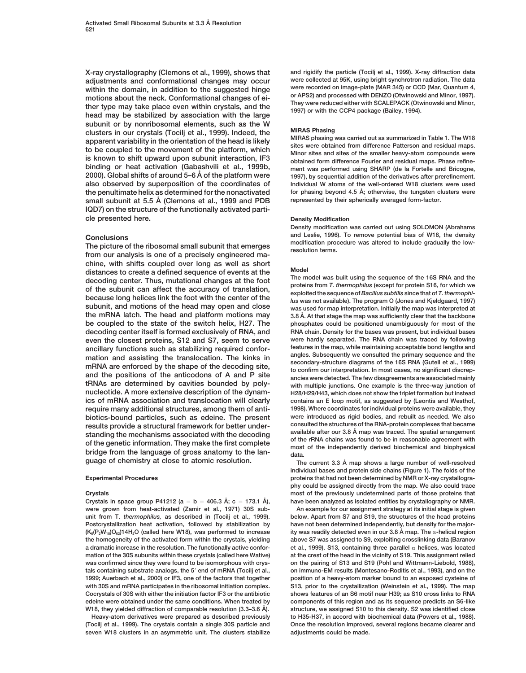**adjustments and conformational changes may occur were collected at 95K, using bright synchrotron radiation. The data within the domain, in addition to the suggested hinge were recorded on image-plate (MAR 345) or CCD (Mar, Quantum 4,** motions about the neck. Conformational changes of ei-<br>ther type may take place even within crystals, and the<br>head may be stabilized by association with the large head may be stabilized by association with the large **subunit or by nonribosomal elements, such as the W** clusters in our crystals (Tocilj et al., 1999). Indeed, the<br>apparent variability in the orientation of the head is likely<br>to be coupled to the movement of the platform, which<br>is known to shift upward upon subunit interacti **2000). Global shifts of around 5–6 Å** of the platform were<br> **2000). Global shifts of around 5–6 Å of the platform were 1997), by sequential addition of the derivatives after prerefinement. also observed by superposition of the coordinates of Individual W atoms of the well-ordered W18 clusters were used for phasing beyond 4.5 A°** (the penultimate helix as determined for the nonactivated for phasing beyond 4.5 A°, otherwise, the tungsten clusters were<br>
small subunit at 5.5 A<sup>°</sup> (Clemons et al. 1999 and PDB) represented by small subunit at 5.5 Å (Clemons et al., 1999 and PDB **IQD7) on the structure of the functionally activated particle presented here. Density Modification** 

**chine, with shifts coupled over long as well as short** distances to create a defined sequence of events at the<br>decoding center. Thus, mutational changes at the foot<br>of the subunit can affect the accuracy of translation,<br>because long helices link the foot with the center of the **be coupled to the state of the switch helix, H27. The phosphates could be positioned unambiguously for most of the decoding center itself is formed exclusively of RNA, and RNA chain. Density for the bases was present, but individual bases** ancillary functions such as stabilizing required confor-<br>mation and assisting the translocation. The kinks in<br>mRNA are enforced by the shape of the decoding site,<br>and the positions of the anticodons of A and P site<br>tRNAs a **nucleotide. A more extensive description of the dynam- H28/H29/H43, which does not show the triplet formation but instead ics of mRNA association and translocation will clearly contains an E loop motif, as suggested by (Leontis and Westhof, require many additional structures, among them of anti- 1998). Where coordinates for individual proteins were available, they** results provide a structural framework for better under-<br>standing the mechanisms associated with the decoding<br>of the genetic information. They make the first complete<br>bridge from the language of gross anatomy to the lan-<br>g

**were grown from heat-activated (Zamir et al., 1971) 30S sub- An example for our assignment strategy at its initial stage is given unit from T.** *thermophilus,* **as described in (Tocilj et al., 1999). below. Apart from S7 and S19, the structures of the head proteins Postcrystallization heat activation, followed by stabilization by have not been determined independently, but density for the major- (K6(P2W18)O62)14H2O (called here W18), was performed to increase ity was readily detected even in our 3.8 A˚ map. The** a**-helical region the homogeneity of the activated form within the crystals, yielding above S7 was assigned to S9, exploiting crosslinking data (Baranov a dramatic increase in the resolution. The functionally active confor- et al., 1999). S13, containing three parallel** a **helices, was located mation of the 30S subunits within these crystals (called here Wative) at the crest of the head in the vicinity of S19. This assignment relied** was confirmed since they were found to be isomorphous with crys- on the pairing of S13 and S19 (Pohl and Wittmann-Liebold, 1988), **tals containing substrate analogs, the 5**9 **end of mRNA (Tocilj et al., on immuno-EM results (Montesano-Roditis et al., 1993), and on the 1999; Auerbach et al., 2000) or IF3, one of the factors that together position of a heavy-atom marker bound to an exposed cysteine of with 30S and mRNA participates in the ribosomal initiation complex. S13, prior to the crystallization (Weinstein et al., 1999). The map Cocrystals of 30S with either the initiation factor IF3 or the antibiotic shows features of an S6 motif near H39; as S10 cross links to RNA edeine were obtained under the same conditions. When treated by components of this region and as its sequence predicts an S6-like**

**(Tocilj et al., 1999). The crystals contain a single 30S particle and Once the resolution improved, several regions became clearer and seven W18 clusters in an asymmetric unit. The clusters stabilize adjustments could be made.**

**X-ray crystallography (Clemons et al., 1999), shows that and rigidify the particle (Tocilj et al., 1999). X-ray diffraction data**

**Density modification was carried out using SOLOMON (Abrahams Conclusions** and Leslie, 1996). To remove potential bias of W18, the density<br>The picture of the ribosomal small subunit that emerges modification procedure was altered to include gradually the low-<br>from our analysis is on

**the mRNA latch. The head and platform motions may 3.8 A˚ . At that stage the map was sufficiently clear that the backbone even the closest proteins, S12 and S7, seem to serve were hardly separated. The RNA chain was traced by following biotics-bound particles, such as edeine. The present were introduced as rigid bodies, and rebuilt as needed. We also**

**guage of chemistry at close to atomic resolution. The current 3.3 A˚ map shows a large number of well-resolved individual bases and protein side chains (Figure 1). The folds of the Experimental Procedures proteins that had not been determined by NMR or X-ray crystallography could be assigned directly from the map. We also could trace Crystals most of the previously undetermined parts of those proteins that** Crystals in space group P41212 (a = b = 406.3 Å; c = 173.1 Å), have been analyzed as isolated entities by crystallography or NMR.

**W18, they yielded diffraction of comparable resolution (3.3–3.6 A˚ ). structure, we assigned S10 to this density. S2 was identified close Heavy-atom derivatives were prepared as described previously to H35-H37, in accord with biochemical data (Powers et al., 1988).**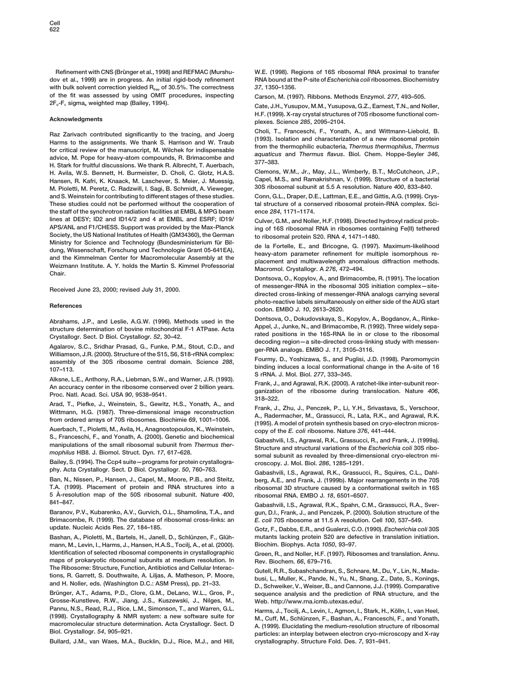Refinement with CNS (Brünger et al., 1998) and REFMAC (Murshu- W.E. (1998). Regions of 16S ribosomal RNA proximal to transfer **dov et al., 1999) are in progress. An initial rigid-body refinement RNA bound at the P-site of** *Escherichia coli* **ribosomes. Biochemistry with bulk solvent correction yielded Rfree of 30.5%. The correctness** *37***, 1350–1356. of the fit was assessed by using OMIT procedures, inspecting Carson, M. (1997). Ribbons. Methods Enzymol.** *277***, 493–505.**

Raz Zarivach contributed significantly to the tracing, and Joerg<br>Harms to the assignments. We thank S. Harrison and W. Traub<br>for critical review of the manuscript, M. Wilchek for indispensable<br>advice, M. Pope for heavy-ato **H. Avila, W.S. Bennett, H. Burmeister, D. Choli, C. Glotz, H.A.S. Clemons, W.M., Jr., May, J.L., Wimberly, B.T., McCutcheon, J.P., Hansen, R. Kafri, K. Knaack, M. Laschever, S. Meier, J. Muessig, Capel, M.S., and Ramakrishnan, V. (1999). Structure of a bacterial M. Pioletti, M. Peretz, C. Radzwill, I. Sagi, B. Schmidt, A. Vieweger, and S. Weinstein for contributing to different stages of these studies. Conn, G.L., Draper, D.E., Lattman, E.E., and Gittis, A.G. (1999). Crys-These studies could not be performed without the cooperation of tal structure of a conserved ribosomal protein-RNA complex. Scithe staff of the synchrotron radiation facilities at EMBL & MPG beam ence** *284***, 1171–1174. lines at DESY; ID2 and ID14/2 and 4 at EMBL and ESRF; ID19/ Culver, G.M., and Noller, H.F. (1998). Directed hydroxyl radical prob-Society, the US National Institutes of Health (GM34360), the German to ribosomal protein S20. RNA** *4***, 1471–1480.** Ministry for Science and Technology (Bundesministerium für Bildender 1997). Maximum-likelihood dela Fortelle, E., and Bricogne, G. (1997). Maximum-likelihood heavy-atom parameter refinement for multiple isomorphous read th

Crystallogr. Sect. D Biol. Crystallogr. 52, 30–42.<br>Agalarov, S.C., Sridhar Prasad, G., Funke, P.M., Stout, C.D., and<br>Williamson, J.R. (2000). Structure of the S15, S6, S18-rRNA complex:<br>assembly of the 30S ribosome central

**Auerbach, T., Pioletti, M., Avila, H., Anagnostopoulos, K., Weinstein, copy of the** *E. coli* **ribosome. Nature** *376***, 441–444.**

**Bailey, S. (1994). The Ccp4 suite—programs for protein crystallogra- croscopy. J. Mol. Biol.** *286***, 1285–1291.**

**Ban, N., Nissen, P., Hansen, J., Capel, M., Moore, P.B., and Steitz, berg, A.E., and Frank, J. (1999b). Major rearrangements in the 70S 5 A˚ -resolution map of the 50S ribosomal subunit. Nature** *400***, ribosomal RNA. EMBO J.** *18***, 6501–6507.**

**Brimacombe, R. (1999). The database of ribosomal cross-links: an** *E. coli* **70S ribosome at 11.5 A resolution. Cell** *100***, 537–549. update. Nucleic Acids Res.** *27***, 184–185. Gotz, F., Dabbs, E.R., and Gualerzi, C.O. (1990).** *Escherichia coli* **30S**

**mann, M., Levin, I., Harms, J., Hansen, H.A.S., Tocilj, A., et al. (2000). Biochim. Biophys. Acta** *1050***, 93–97. Identification of selected ribosomal components in crystallographic Green, R., and Noller, H.F. (1997). Ribosomes and translation. Annu.** maps of prokaryotic ribosomal subunits at medium resolution. In **Rev. Biochem. 66, 679–716.**<br>The Ribosome: Structure. Function. Antibiotics and Cellular Interac-

**Grosse-Kunstleve, R.W., Jiang, J.S., Kuszewski, J., Nilges, M., Web. http://www.rna.icmb.utexas.edu/.** Pannu, N.S., Read, R.J., Rice, L.M., Simonson, T., and Warren, G.L. Harms, J., Tocilj, A., Levin, I., Agmon, I., Stark, H., Kölln, I., van Heel,<br>(1998). Crystallography & NMR system: a new software suite for **M. Agean Cult (1998). Crystallography & NMR system: a new software suite for M., Cuff, M., Schlu¨ nzen, F., Bashan, A., Franceschi, F., and Yonath,**

Bullard, J.M., van Waes, M.A., Bucklin, D.J., Rice, M.J., and Hill,

**2Fo-Fc sigmaa weighted map (Bailey, 1994). Cate, J.H., Yusupov, M.M., Yusupova, G.Z., Earnest, T.N., and Noller, H.F. (1999). X-ray crystal structures of 70S ribosome functional com- Acknowledgments plexes. Science** *<sup>285</sup>***, 2095–2104.**

ing of 16S ribosomal RNA in ribosomes containing Fe(II) tethered

**Dontsova, O., Kopylov, A., and Brimacombe, R. (1991). The location of messenger-RNA in the ribosomal 30S initiation complex—site- Received June 23, 2000; revised July 31, 2000. directed cross-linking of messenger-RNA analogs carrying several photo-reactive labels simultaneously on either side of the AUG start References codon. EMBO J.** *<sup>10</sup>***, 2613–2620.**

Abrahams, J.P., and Leslie, A.G.W. (1996). Methods used in the Dontsova, O., Dokudovskaya, S., Kopylov, A., Bogdanov, A., Rinke-<br>structure determination of bovine mitochondrial F-1 ATPase. Acta Appel, J., Junke, N., and Br

107–113.<br>
Alksne, L.E., Anthony, R.A., Liebman, S.W., and Warner, J.R. (1993).<br>
An accuracy center in the ribosome conserved over 2 billion years.<br>
Prank, J., and Agrawal, R.K. (2000). A ratchet-like inter-subunit reor-<br>
P

Frank, J., Zhu, J., Penczek, P., Li, Y.H., Srivastava, S., Verschoor,<br>Wittmann, H.G. (1987). Three-dimensional image reconstruction<br>from ordered arrays of 70S ribosomes. Biochimie 69, 1001–1006. (1995). A model of protein

3., Franceschi, F., and Fonali, A. (2000). Generic and biochemical Gabashvili, I.S., Agrawal, R.K., Grassucci, R., and Frank, J. (1999a).<br>manipulations of the small ribosomal subunit from Thermus ther-<br>mophilus HB8. J. Bio

**phy. Acta Crystallogr. Sect. D Biol. Crystallogr.** *<sup>50</sup>***, 760–763. Gabashvili, I.S., Agrawal, R.K., Grassucci, R., Squires, C.L., Dahl**ribosomal 3D structure caused by a conformational switch in 16S

**841–847. Gabashvili, I.S., Agrawal, R.K., Spahn, C.M., Grassucci, R.A., Sver-Baranov, P.V., Kubarenko, A.V., Gurvich, O.L., Shamolina, T.A., and gun, D.I., Frank, J., and Penczek, P. (2000). Solution structure of the**

Bashan, A., Pioletti, M., Bartels, H., Janell, D., Schlünzen, F., Glüh- mutants lacking protein S20 are defective in translation initiation.

The Hibosome: Structure, Function, Antibiotics and Genuiar interac-<br>
tions, R. Garrett, S. Douthwaite, A. Liljas, A. Matheson, P. Moore,<br>
and H. Noller, eds. (Washington D.C.: ASM Press), pp. 21–33.<br>
Brünger, A.T., Adams,  $sequence$  analysis and the prediction of RNA structure, and the

macromolecular structure determination. Acta Crystallogr. Sect. D. A. (1999). Elucidating the medium-resolution structure of ribosomal<br>Biol. Crystallogr. 54, 905–921. particles: an interplay between electron cryo-microscop